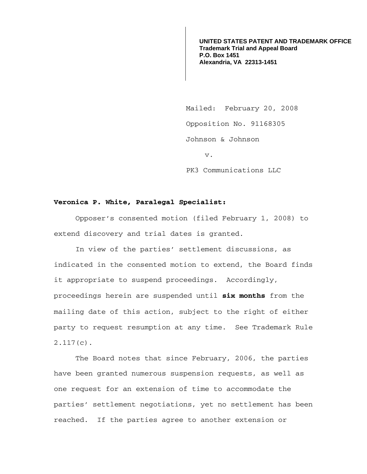**UNITED STATES PATENT AND TRADEMARK OFFICE Trademark Trial and Appeal Board P.O. Box 1451 Alexandria, VA 22313-1451**

Mailed: February 20, 2008 Opposition No. 91168305 Johnson & Johnson v. PK3 Communications LLC

## **Veronica P. White, Paralegal Specialist:**

Opposer's consented motion (filed February 1, 2008) to extend discovery and trial dates is granted.

In view of the parties' settlement discussions, as indicated in the consented motion to extend, the Board finds it appropriate to suspend proceedings. Accordingly, proceedings herein are suspended until **six months** from the mailing date of this action, subject to the right of either party to request resumption at any time. See Trademark Rule 2.117(c).

The Board notes that since February, 2006, the parties have been granted numerous suspension requests, as well as one request for an extension of time to accommodate the parties' settlement negotiations, yet no settlement has been reached. If the parties agree to another extension or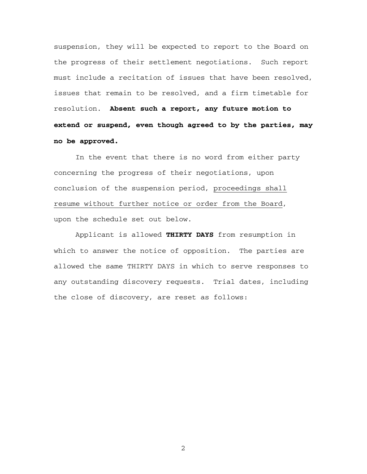suspension, they will be expected to report to the Board on the progress of their settlement negotiations. Such report must include a recitation of issues that have been resolved, issues that remain to be resolved, and a firm timetable for resolution. **Absent such a report, any future motion to extend or suspend, even though agreed to by the parties, may no be approved.**

 In the event that there is no word from either party concerning the progress of their negotiations, upon conclusion of the suspension period, proceedings shall resume without further notice or order from the Board, upon the schedule set out below.

 Applicant is allowed **THIRTY DAYS** from resumption in which to answer the notice of opposition. The parties are allowed the same THIRTY DAYS in which to serve responses to any outstanding discovery requests. Trial dates, including the close of discovery, are reset as follows:

2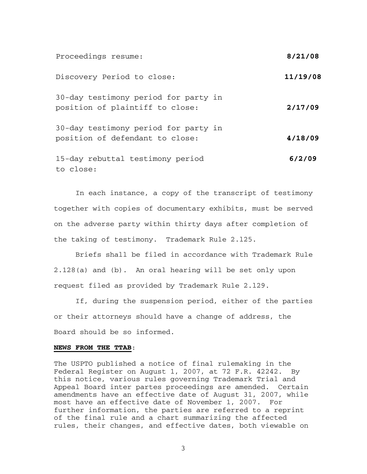| Proceedings resume:                                                     | 8/21/08  |
|-------------------------------------------------------------------------|----------|
| Discovery Period to close:                                              | 11/19/08 |
| 30-day testimony period for party in<br>position of plaintiff to close: | 2/17/09  |
| 30-day testimony period for party in<br>position of defendant to close: | 4/18/09  |
| 15-day rebuttal testimony period<br>to close:                           | 6/2/09   |

In each instance, a copy of the transcript of testimony together with copies of documentary exhibits, must be served on the adverse party within thirty days after completion of the taking of testimony. Trademark Rule 2.l25.

Briefs shall be filed in accordance with Trademark Rule 2.128(a) and (b). An oral hearing will be set only upon request filed as provided by Trademark Rule 2.l29.

If, during the suspension period, either of the parties or their attorneys should have a change of address, the Board should be so informed.

## **NEWS FROM THE TTAB**:

The USPTO published a notice of final rulemaking in the Federal Register on August 1, 2007, at 72 F.R. 42242. By this notice, various rules governing Trademark Trial and Appeal Board inter partes proceedings are amended. Certain amendments have an effective date of August 31, 2007, while most have an effective date of November 1, 2007. For further information, the parties are referred to a reprint of the final rule and a chart summarizing the affected rules, their changes, and effective dates, both viewable on

3